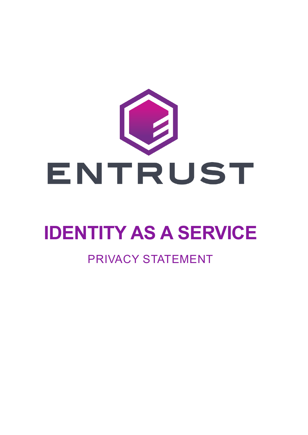

# **IDENTITY AS A SERVICE**

### PRIVACY STATEMENT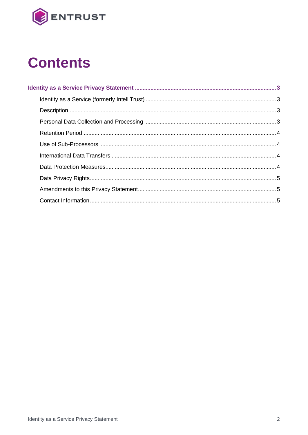

# **Contents**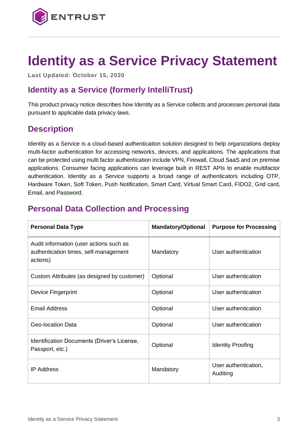

## <span id="page-2-0"></span>**Identity as a Service Privacy Statement**

**Last Updated: October 15, 2020**

#### <span id="page-2-1"></span>**Identity as a Service (formerly IntelliTrust)**

This product privacy notice describes how Identity as a Service collects and processes personal data pursuant to applicable data privacy laws.

#### <span id="page-2-2"></span>**Description**

Identity as a Service is a cloud-based authentication solution designed to help organizations deploy multi-factor authentication for accessing networks, devices, and applications. The applications that can be protected using multi factor authentication include VPN, Firewall, Cloud SaaS and on premise applications. Consumer facing applications can leverage built in REST APIs to enable multifactor authentication. Identity as a Service supports a broad range of authenticators including OTP, Hardware Token, Soft Token, Push Notification, Smart Card, Virtual Smart Card, FIDO2, Grid card, Email, and Password.

#### <span id="page-2-3"></span>**Personal Data Collection and Processing**

| <b>Personal Data Type</b>                                                                    | <b>Mandatory/Optional</b> | <b>Purpose for Processing</b>    |
|----------------------------------------------------------------------------------------------|---------------------------|----------------------------------|
| Audit information (user actions such as<br>authentication times, self-management<br>actions) | Mandatory                 | User authentication              |
| Custom Attributes (as designed by customer)                                                  | Optional                  | User authentication              |
| Device Fingerprint                                                                           | Optional                  | User authentication              |
| <b>Email Address</b>                                                                         | Optional                  | User authentication              |
| Geo-location Data                                                                            | Optional                  | User authentication              |
| Identification Documents (Driver's License,<br>Passport, etc.)                               | Optional                  | <b>Identity Proofing</b>         |
| <b>IP Address</b>                                                                            | Mandatory                 | User authentication,<br>Auditing |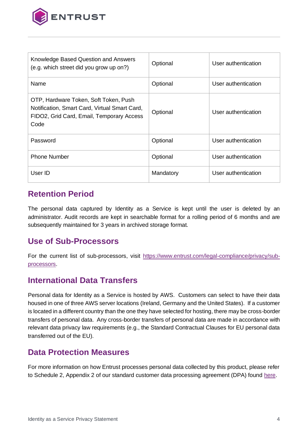

| Knowledge Based Question and Answers<br>(e.g. which street did you grow up on?)                                                             | Optional  | User authentication |
|---------------------------------------------------------------------------------------------------------------------------------------------|-----------|---------------------|
| Name                                                                                                                                        | Optional  | User authentication |
| OTP, Hardware Token, Soft Token, Push<br>Notification, Smart Card, Virtual Smart Card,<br>FIDO2, Grid Card, Email, Temporary Access<br>Code | Optional  | User authentication |
| Password                                                                                                                                    | Optional  | User authentication |
| <b>Phone Number</b>                                                                                                                         | Optional  | User authentication |
| User ID                                                                                                                                     | Mandatory | User authentication |

#### <span id="page-3-0"></span>**Retention Period**

The personal data captured by Identity as a Service is kept until the user is deleted by an administrator. Audit records are kept in searchable format for a rolling period of 6 months and are subsequently maintained for 3 years in archived storage format.

#### <span id="page-3-1"></span>**Use of Sub-Processors**

For the current list of sub-processors, visit [https://www.entrust.com/legal-compliance/privacy/sub](https://www.entrust.com/legal-compliance/privacy/sub-processors)[processors.](https://www.entrust.com/legal-compliance/privacy/sub-processors)

#### <span id="page-3-2"></span>**International Data Transfers**

Personal data for Identity as a Service is hosted by AWS. Customers can select to have their data housed in one of three AWS server locations (Ireland, Germany and the United States). If a customer is located in a different country than the one they have selected for hosting, there may be cross-border transfers of personal data. Any cross-border transfers of personal data are made in accordance with relevant data privacy law requirements (e.g., the Standard Contractual Clauses for EU personal data transferred out of the EU).

#### <span id="page-3-3"></span>**Data Protection Measures**

For more information on how Entrust processes personal data collected by this product, please refer to Schedule 2, Appendix 2 of our standard customer data processing agreement (DPA) found [here.](https://www.entrust.com/-/media/documentation/licensingandagreements/dpa---entrust-acting-as-processor.pdf)